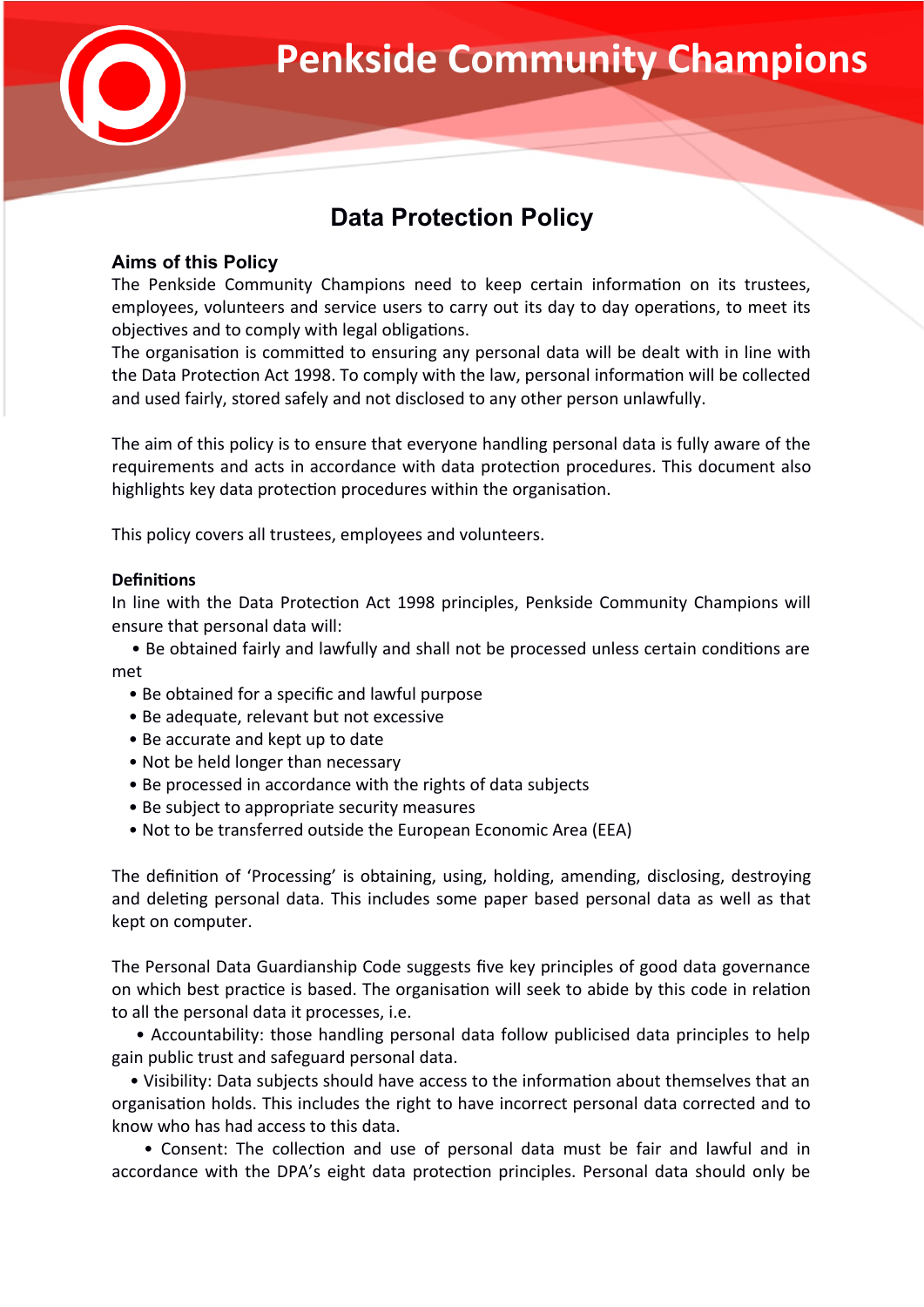

# **Data Protection Policy**

# **Aims of this Policy**

The Penkside Community Champions need to keep certain information on its trustees, employees, volunteers and service users to carry out its day to day operations, to meet its objectives and to comply with legal obligations.

The organisation is committed to ensuring any personal data will be dealt with in line with the Data Protection Act 1998. To comply with the law, personal information will be collected and used fairly, stored safely and not disclosed to any other person unlawfully.

The aim of this policy is to ensure that everyone handling personal data is fully aware of the requirements and acts in accordance with data protection procedures. This document also highlights key data protection procedures within the organisation.

This policy covers all trustees, employees and volunteers.

## **Definitions**

In line with the Data Protection Act 1998 principles, Penkside Community Champions will ensure that personal data will:

• Be obtained fairly and lawfully and shall not be processed unless certain conditions are met

- Be obtained for a specific and lawful purpose
- Be adequate, relevant but not excessive
- Be accurate and kept up to date
- Not be held longer than necessary
- Be processed in accordance with the rights of data subjects
- Be subject to appropriate security measures
- Not to be transferred outside the European Economic Area (EEA)

The definition of 'Processing' is obtaining, using, holding, amending, disclosing, destroying and deleting personal data. This includes some paper based personal data as well as that kept on computer.

The Personal Data Guardianship Code suggests five key principles of good data governance on which best practice is based. The organisation will seek to abide by this code in relation to all the personal data it processes, i.e.

• Accountability: those handling personal data follow publicised data principles to help gain public trust and safeguard personal data.

• Visibility: Data subjects should have access to the information about themselves that an organisation holds. This includes the right to have incorrect personal data corrected and to know who has had access to this data.

• Consent: The collection and use of personal data must be fair and lawful and in accordance with the DPA's eight data protection principles. Personal data should only be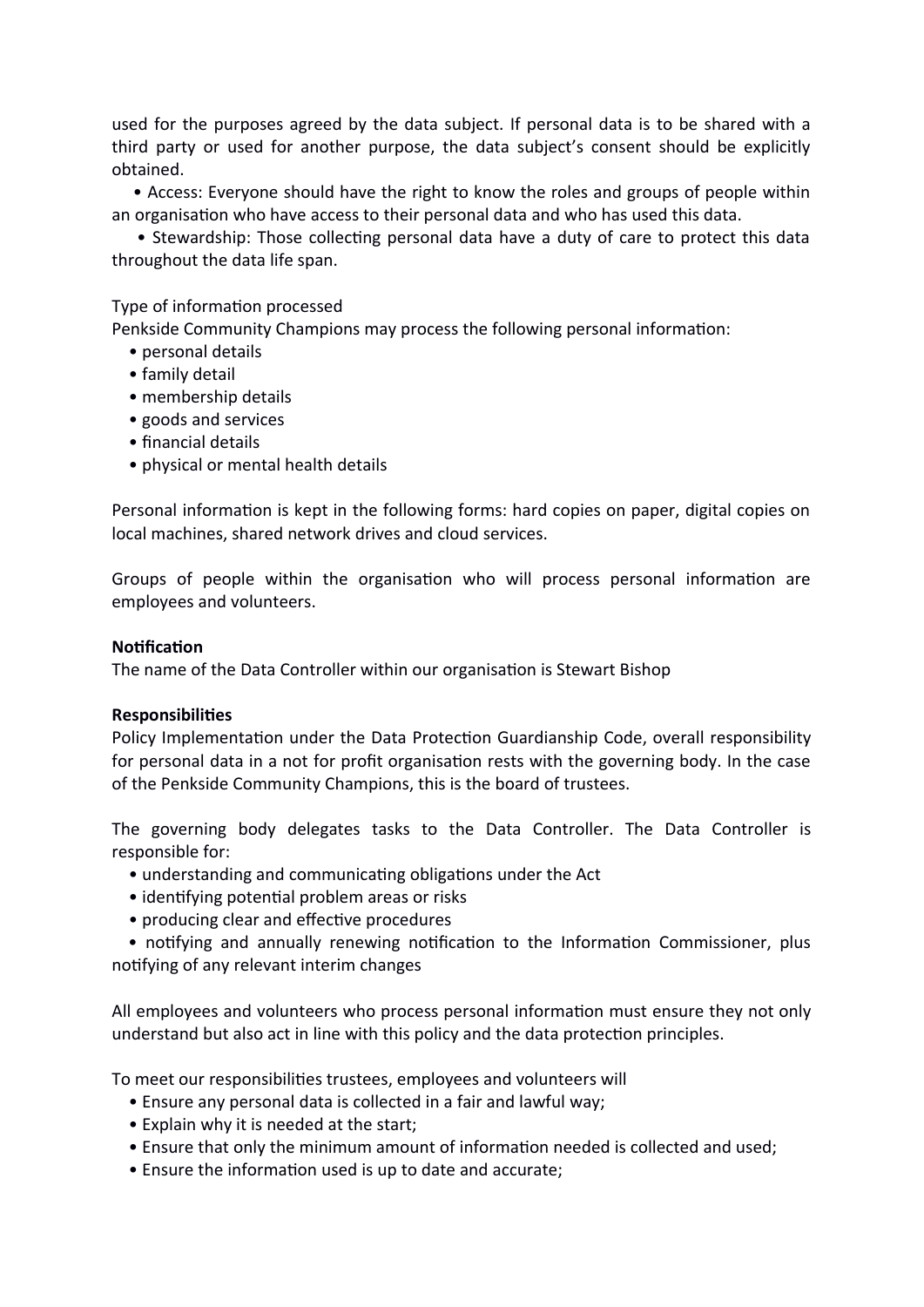used for the purposes agreed by the data subject. If personal data is to be shared with a third party or used for another purpose, the data subject's consent should be explicitly obtained.

• Access: Everyone should have the right to know the roles and groups of people within an organisation who have access to their personal data and who has used this data.

• Stewardship: Those collecting personal data have a duty of care to protect this data throughout the data life span.

### Type of information processed

Penkside Community Champions may process the following personal information:

- personal details
- family detail
- membership details
- goods and services
- fnancial details
- physical or mental health details

Personal information is kept in the following forms: hard copies on paper, digital copies on local machines, shared network drives and cloud services.

Groups of people within the organisation who will process personal information are employees and volunteers.

#### **Notification**

The name of the Data Controller within our organisation is Stewart Bishop

#### **Responsibilities**

Policy Implementation under the Data Protection Guardianship Code, overall responsibility for personal data in a not for profit organisation rests with the governing body. In the case of the Penkside Community Champions, this is the board of trustees.

The governing body delegates tasks to the Data Controller. The Data Controller is responsible for:

- understanding and communicating obligations under the Act
- identifying potential problem areas or risks
- producing clear and effective procedures

• notifying and annually renewing notification to the Information Commissioner, plus notifying of any relevant interim changes

All employees and volunteers who process personal information must ensure they not only understand but also act in line with this policy and the data protection principles.

To meet our responsibilities trustees, employees and volunteers will

- Ensure any personal data is collected in a fair and lawful way;
- Explain why it is needed at the start;
- Ensure that only the minimum amount of information needed is collected and used;
- Ensure the information used is up to date and accurate;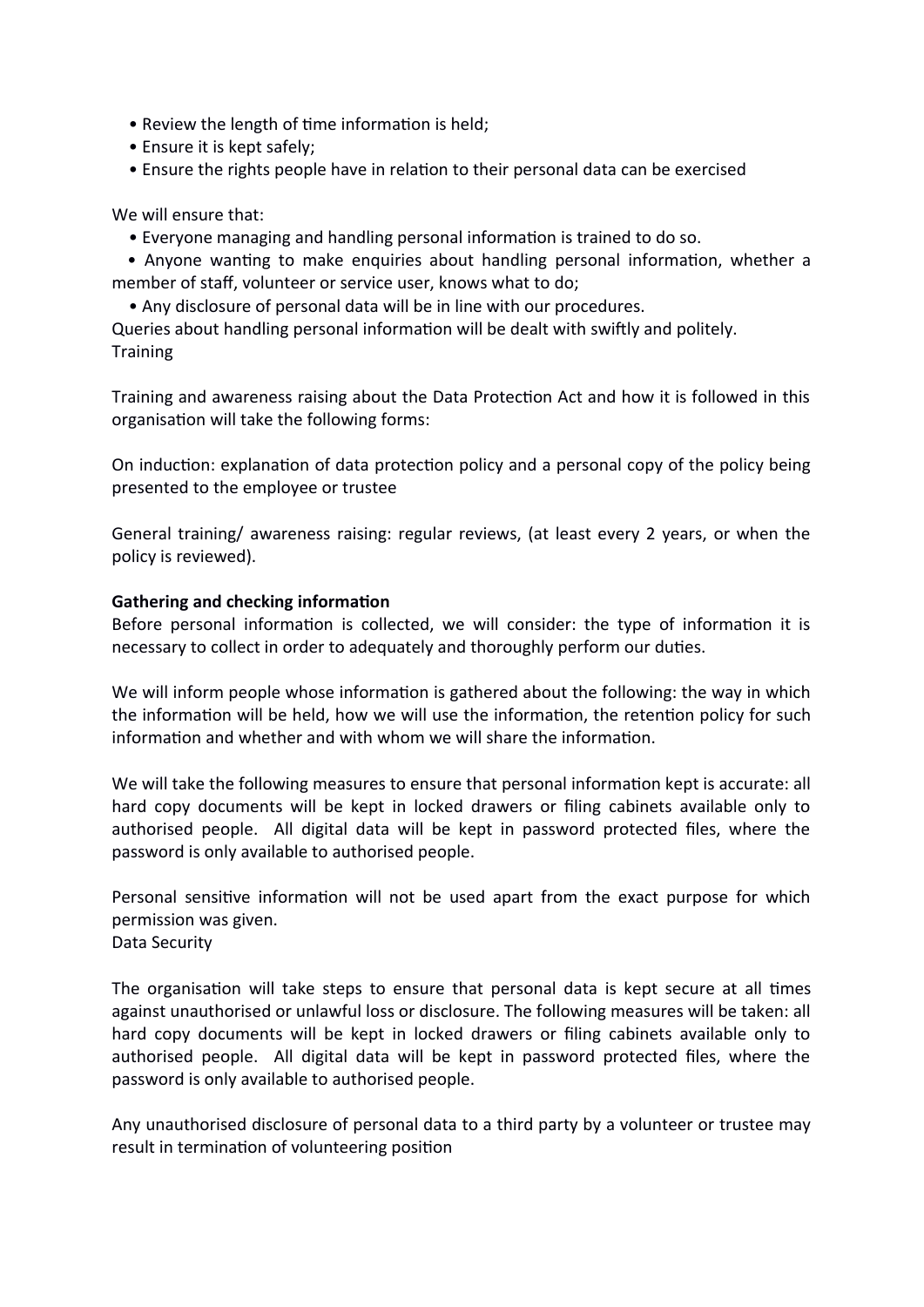- Review the length of time information is held;
- Ensure it is kept safely;
- Ensure the rights people have in relation to their personal data can be exercised

We will ensure that:

• Everyone managing and handling personal information is trained to do so.

• Anyone wanting to make enquiries about handling personal information, whether a member of staff, volunteer or service user, knows what to do:

• Any disclosure of personal data will be in line with our procedures.

Queries about handling personal information will be dealt with swiftly and politely. **Training** 

Training and awareness raising about the Data Protection Act and how it is followed in this organisation will take the following forms:

On induction: explanation of data protection policy and a personal copy of the policy being presented to the employee or trustee

General training/ awareness raising: regular reviews, (at least every 2 years, or when the policy is reviewed).

## **Gathering and checking information**

Before personal information is collected, we will consider: the type of information it is necessary to collect in order to adequately and thoroughly perform our duties.

We will inform people whose information is gathered about the following: the way in which the information will be held, how we will use the information, the retention policy for such information and whether and with whom we will share the information.

We will take the following measures to ensure that personal information kept is accurate: all hard copy documents will be kept in locked drawers or filing cabinets available only to authorised people. All digital data will be kept in password protected files, where the password is only available to authorised people.

Personal sensitive information will not be used apart from the exact purpose for which permission was given. Data Security

The organisation will take steps to ensure that personal data is kept secure at all times against unauthorised or unlawful loss or disclosure. The following measures will be taken: all hard copy documents will be kept in locked drawers or filing cabinets available only to authorised people. All digital data will be kept in password protected files, where the password is only available to authorised people.

 ny unauthorised disclosure of personal data to a third party by a volunteer or trustee may result in termination of volunteering position